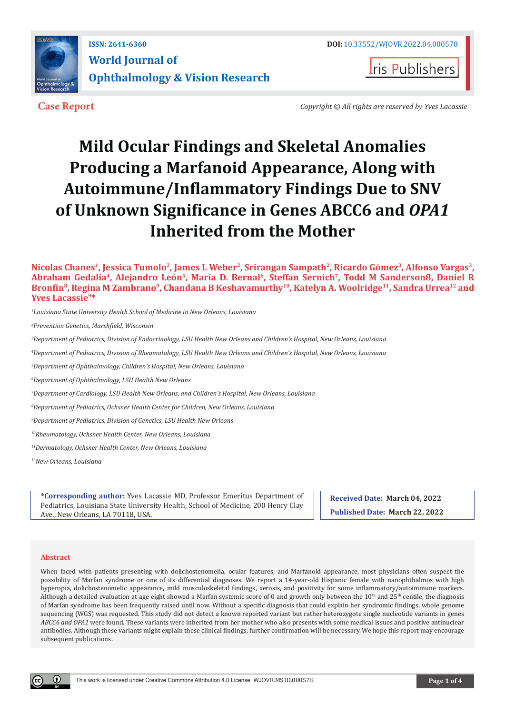

**ISSN: 2641-6360 DOI:** [10.33552/WJOVR.2022.04.000578](http://dx.doi.org/10.33552/WJOVR.2022.04.000578) **World Journal of Ophthalmology & Vision Research**



**Case Report** *Copyright © All rights are reserved by Yves Lacassie*

# **Mild Ocular Findings and Skeletal Anomalies Producing a Marfanoid Appearance, Along with Autoimmune/Inflammatory Findings Due to SNV of Unknown Significance in Genes ABCC6 and** *OPA1* **Inherited from the Mother**

**Nicolas Chanes1, Jessica Tumolo2, James L Weber2, Srirangan Sampath2, Ricardo Gómez<sup>3</sup>, Alfonso Vargas3, Abraham Gedalia<sup>4</sup>, Alejandro León<sup>5</sup>, María D. Bernal6, Steffan Sernich7, Todd M Sanderson8, Daniel R Bronfin8, Regina M Zambrano9, Chandana B Keshavamurthy<sup>10</sup>, Katelyn A. Woolridge11, Sandra Urrea12 and Yves Lacassie9\***

*1 Louisiana State University Health School of Medicine in New Orleans, Louisiana* 

*2 Prevention Genetics, Marshfield, Wisconsin*

*3 Department of Pediatrics, Division of Endocrinology, LSU Health New Orleans and Children's Hospital, New Orleans, Louisiana* 

*4 Department of Pediatrics, Division of Rheumatology, LSU Health New Orleans and Children's Hospital, New Orleans, Louisiana* 

*5 Department of Ophthalmology, Children's Hospital, New Orleans, Louisiana*

*6 Department of Ophthalmology, LSU Health New Orleans*

*7 Department of Cardiology, LSU Health New Orleans, and Children's Hospital, New Orleans, Louisiana*

*8 Department of Pediatrics, Ochsner Health Center for Children, New Orleans, Louisiana*

*9 Department of Pediatrics, Division of Genetics, LSU Health New Orleans*

*10Rheumatology, Ochsner Health Center, New Orleans, Louisiana*

*11Dermatology, Ochsner Health Center, New Orleans, Louisiana*

*12New Orleans, Louisiana*

**\*Corresponding author:** Yves Lacassie MD, Professor Emeritus Department of Pediatrics, Louisiana State University Health, School of Medicine, 200 Henry Clay Ave., New Orleans, LA 70118, USA.

**Received Date: March 04, 2022 Published Date: March 22, 2022**

#### **Abstract**

When faced with patients presenting with dolichostenomelia, ocular features, and Marfanoid appearance, most physicians often suspect the possibility of Marfan syndrome or one of its differential diagnoses. We report a 14-year-old Hispanic female with nanophthalmos with high hyperopia, dolichostenomelic appearance, mild musculoskeletal findings, xerosis, and positivity for some inflammatory/autoimmune markers. Although a detailed evaluation at age eight showed a Marfan systemic score of 0 and growth only between the  $10<sup>th</sup>$  and  $25<sup>th</sup>$  centile, the diagnosis of Marfan syndrome has been frequently raised until now. Without a specific diagnosis that could explain her syndromic findings, whole genome sequencing (WGS) was requested. This study did not detect a known reported variant but rather heterozygote single nucleotide variants in genes *ABCC6 and OPA1* were found. These variants were inherited from her mother who also presents with some medical issues and positive antinuclear antibodies. Although these variants might explain these clinical findings, further confirmation will be necessary. We hope this report may encourage subsequent publications.

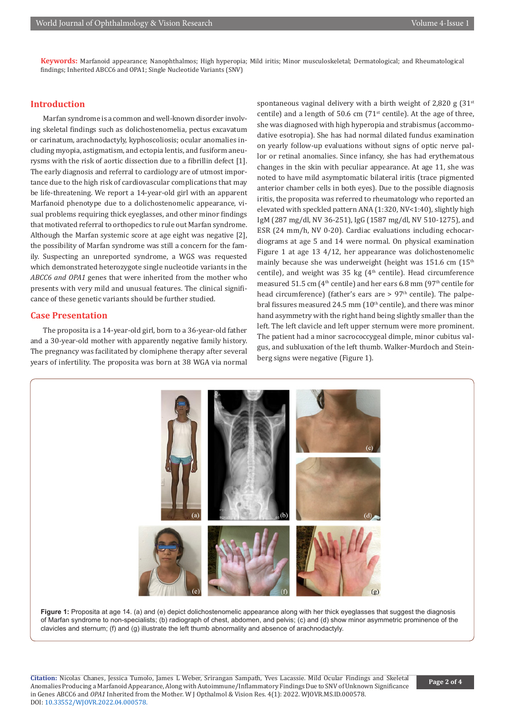**Keywords:** Marfanoid appearance; Nanophthalmos; High hyperopia; Mild iritis; Minor musculoskeletal; Dermatological; and Rheumatological findings; Inherited ABCC6 and OPA1; Single Nucleotide Variants (SNV)

# **Introduction**

Marfan syndrome is a common and well-known disorder involving skeletal findings such as dolichostenomelia, pectus excavatum or carinatum, arachnodactyly, kyphoscoliosis; ocular anomalies including myopia, astigmatism, and ectopia lentis, and fusiform aneurysms with the risk of aortic dissection due to a fibrillin defect [1]. The early diagnosis and referral to cardiology are of utmost importance due to the high risk of cardiovascular complications that may be life-threatening. We report a 14-year-old girl with an apparent Marfanoid phenotype due to a dolichostenomelic appearance, visual problems requiring thick eyeglasses, and other minor findings that motivated referral to orthopedics to rule out Marfan syndrome. Although the Marfan systemic score at age eight was negative [2], the possibility of Marfan syndrome was still a concern for the family. Suspecting an unreported syndrome, a WGS was requested which demonstrated heterozygote single nucleotide variants in the *ABCC6 and OPA1* genes that were inherited from the mother who presents with very mild and unusual features. The clinical significance of these genetic variants should be further studied.

## **Case Presentation**

The proposita is a 14-year-old girl, born to a 36-year-old father and a 30-year-old mother with apparently negative family history. The pregnancy was facilitated by clomiphene therapy after several years of infertility. The proposita was born at 38 WGA via normal

spontaneous vaginal delivery with a birth weight of 2,820 g  $(31^{st}$ centile) and a length of 50.6 cm  $(71<sup>st</sup>$  centile). At the age of three, she was diagnosed with high hyperopia and strabismus (accommodative esotropia). She has had normal dilated fundus examination on yearly follow-up evaluations without signs of optic nerve pallor or retinal anomalies. Since infancy, she has had erythematous changes in the skin with peculiar appearance. At age 11, she was noted to have mild asymptomatic bilateral iritis (trace pigmented anterior chamber cells in both eyes). Due to the possible diagnosis iritis, the proposita was referred to rheumatology who reported an elevated with speckled pattern ANA (1:320, NV<1:40), slightly high IgM (287 mg/dl, NV 36-251), IgG (1587 mg/dl, NV 510-1275), and ESR (24 mm/h, NV 0-20). Cardiac evaluations including echocardiograms at age 5 and 14 were normal. On physical examination Figure 1 at age 13 4/12, her appearance was dolichostenomelic mainly because she was underweight (height was 151.6 cm (15<sup>th</sup> centile), and weight was 35 kg ( $4<sup>th</sup>$  centile). Head circumference measured 51.5 cm ( $4<sup>th</sup>$  centile) and her ears 6.8 mm ( $97<sup>th</sup>$  centile for head circumference) (father's ears are  $> 97<sup>th</sup>$  centile). The palpebral fissures measured 24.5 mm  $(10<sup>th</sup>$  centile), and there was minor hand asymmetry with the right hand being slightly smaller than the left. The left clavicle and left upper sternum were more prominent. The patient had a minor sacrococcygeal dimple, minor cubitus valgus, and subluxation of the left thumb. Walker-Murdoch and Steinberg signs were negative (Figure 1).



**Figure 1:** Proposita at age 14, (a) and (e) depict dolichostenomelic appearance along with her thick eyeglasses that suggest the diagnosis of Marfan syndrome to non-specialists; (b) radiograph of chest, abdomen, and pelvis; (c) and (d) show minor asymmetric prominence of the clavicles and sternum; (f) and (g) illustrate the left thumb abnormality and absence of arachnodactyly.

**Citation:** Nicolas Chanes, Jessica Tumolo, James L Weber, Srirangan Sampath, Yves Lacassie. Mild Ocular Findings and Skeletal Anomalies Producing a Marfanoid Appearance, Along with Autoimmune/Inflammatory Findings Due to SNV of Unknown Significance in Genes ABCC6 and *OPA1* Inherited from the Mother. W J Opthalmol & Vision Res. 4(1): 2022. WJOVR.MS.ID.000578. DOI: [10.33552/WJOVR.2022.04.000578](http://dx.doi.org/10.33552/WJOVR.2022.04.000578).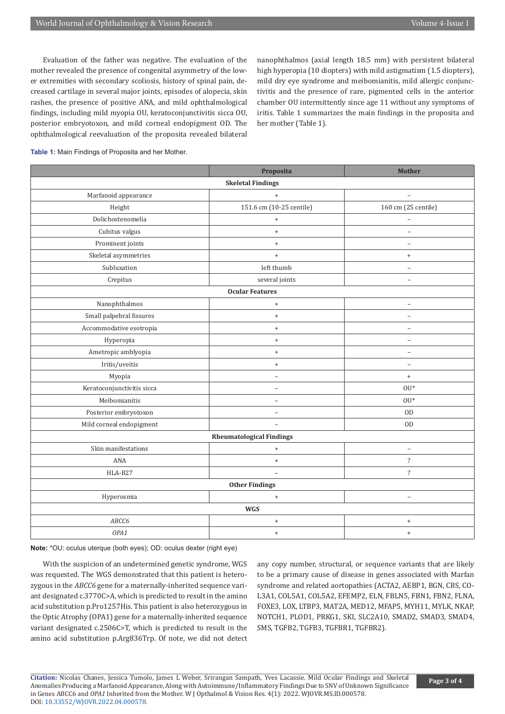Evaluation of the father was negative. The evaluation of the mother revealed the presence of congenital asymmetry of the lower extremities with secondary scoliosis, history of spinal pain, decreased cartilage in several major joints, episodes of alopecia, skin rashes, the presence of positive ANA, and mild ophthalmological findings, including mild myopia OU, keratoconjunctivitis sicca OU, posterior embryotoxon, and mild corneal endopigment OD. The ophthalmological reevaluation of the proposita revealed bilateral nanophthalmos (axial length 18.5 mm) with persistent bilateral high hyperopia (10 diopters) with mild astigmatism (1.5 diopters), mild dry eye syndrome and meibomianitis, mild allergic conjunctivitis and the presence of rare, pigmented cells in the anterior chamber OU intermittently since age 11 without any symptoms of iritis. Table 1 summarizes the main findings in the proposita and her mother (Table 1).

**Table 1:** Main Findings of Proposita and her Mother.

|                                 | Proposita                        | <b>Mother</b>            |
|---------------------------------|----------------------------------|--------------------------|
| <b>Skeletal Findings</b>        |                                  |                          |
| Marfanoid appearance            | $+$                              |                          |
| Height                          | 151.6 cm (10-25 centile)         | 160 cm (25 centile)      |
| Dolichostenomelia               | $\begin{array}{c} + \end{array}$ |                          |
| Cubitus valgus                  | $\ddot{}$                        | $\qquad \qquad -$        |
| Prominent joints                | $\ddot{}$                        | L.                       |
| Skeletal asymmetries            | $^{\mathrm{+}}$                  | $^{+}$                   |
| Subluxation                     | left thumb                       | $\equiv$                 |
| Crepitus                        | several joints                   | $\overline{\phantom{0}}$ |
| <b>Ocular Features</b>          |                                  |                          |
| Nanophthalmos                   | $\ddot{}$                        | $\overline{\phantom{0}}$ |
| Small palpebral fissures        | $\ddot{}$                        | $\overline{\phantom{0}}$ |
| Accommodative esotropia         | $\begin{array}{c} + \end{array}$ | $\overline{a}$           |
| Hyperopia                       | $+$                              | $\overline{a}$           |
| Ametropic amblyopia             | $\begin{array}{c} + \end{array}$ | $\overline{\phantom{0}}$ |
| Iritis/uveitis                  | $\ddot{}$                        | $\qquad \qquad -$        |
| Myopia                          | $\overline{\phantom{0}}$         | $^{+}$                   |
| Keratoconjunctivitis sicca      | $\overline{\phantom{0}}$         | $OU*$                    |
| Meibomianitis                   | $\equiv$                         | $OU*$                    |
| Posterior embryotoxon           | $\equiv$                         | $\rm OD$                 |
| Mild corneal endopigment        | $\overline{\phantom{0}}$         | <b>OD</b>                |
| <b>Rheumatological Findings</b> |                                  |                          |
| Skin manifestations             | $\qquad \qquad +$                | $\equiv$                 |
| ANA                             | $\ddot{}$                        | $\overline{\cdot}$       |
| HLA-B27                         | $\equiv$                         | $\overline{\mathcal{E}}$ |
| <b>Other Findings</b>           |                                  |                          |
| Hyperosmia                      | $\begin{array}{c} + \end{array}$ | $\qquad \qquad -$        |
| <b>WGS</b>                      |                                  |                          |
| ABCC6                           | $\begin{array}{c} + \end{array}$ | $\ddot{}$                |
| OPA1                            | $\begin{array}{c} + \end{array}$ | $\ddot{}$                |

**Note:** \*OU: oculus uterque (both eyes); OD: oculus dexter (right eye)

With the suspicion of an undetermined genetic syndrome, WGS was requested. The WGS demonstrated that this patient is heterozygous in the *ABCC6* gene for a maternally-inherited sequence variant designated c.3770C>A, which is predicted to result in the amino acid substitution p.Pro1257His. This patient is also heterozygous in the Optic Atrophy (OPA1) gene for a maternally-inherited sequence variant designated c.2506C>T, which is predicted to result in the amino acid substitution p.Arg836Trp. Of note, we did not detect any copy number, structural, or sequence variants that are likely to be a primary cause of disease in genes associated with Marfan syndrome and related aortopathies (ACTA2, AEBP1, BGN, CBS, CO-L3A1, COL5A1, COL5A2, EFEMP2, ELN, FBLN5, FBN1, FBN2, FLNA, FOXE3, LOX, LTBP3, MAT2A, MED12, MFAP5, MYH11, MYLK, NKAP, NOTCH1, PLOD1, PRKG1, SKI, SLC2A10, SMAD2, SMAD3, SMAD4, SMS, TGFB2, TGFB3, TGFBR1, TGFBR2).